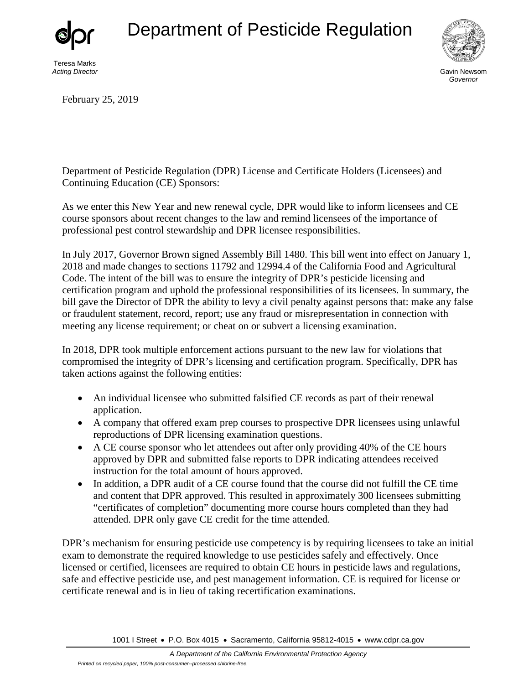## Department of Pesticide Regulation



Teresa Marks *Acting Director*



Gavin Newsom *Governor*

February 25, 2019

Department of Pesticide Regulation (DPR) License and Certificate Holders (Licensees) and Continuing Education (CE) Sponsors:

As we enter this New Year and new renewal cycle, DPR would like to inform licensees and CE course sponsors about recent changes to the law and remind licensees of the importance of professional pest control stewardship and DPR licensee responsibilities.

In July 2017, Governor Brown signed Assembly Bill 1480. This bill went into effect on January 1, 2018 and made changes to sections 11792 and 12994.4 of the California Food and Agricultural Code. The intent of the bill was to ensure the integrity of DPR's pesticide licensing and certification program and uphold the professional responsibilities of its licensees. In summary, the bill gave the Director of DPR the ability to levy a civil penalty against persons that: make any false or fraudulent statement, record, report; use any fraud or misrepresentation in connection with meeting any license requirement; or cheat on or subvert a licensing examination.

In 2018, DPR took multiple enforcement actions pursuant to the new law for violations that compromised the integrity of DPR's licensing and certification program. Specifically, DPR has taken actions against the following entities:

- An individual licensee who submitted falsified CE records as part of their renewal application.
- A company that offered exam prep courses to prospective DPR licensees using unlawful reproductions of DPR licensing examination questions.
- A CE course sponsor who let attendees out after only providing 40% of the CE hours approved by DPR and submitted false reports to DPR indicating attendees received instruction for the total amount of hours approved.
- In addition, a DPR audit of a CE course found that the course did not fulfill the CE time and content that DPR approved. This resulted in approximately 300 licensees submitting "certificates of completion" documenting more course hours completed than they had attended. DPR only gave CE credit for the time attended.

DPR's mechanism for ensuring pesticide use competency is by requiring licensees to take an initial exam to demonstrate the required knowledge to use pesticides safely and effectively. Once licensed or certified, licensees are required to obtain CE hours in pesticide laws and regulations, safe and effective pesticide use, and pest management information. CE is required for license or certificate renewal and is in lieu of taking recertification examinations.

1001 I Street • P.O. Box 4015 • Sacramento, California 95812-4015 • [www.cdpr.ca.gov](http://www.cdpr.ca.gov)